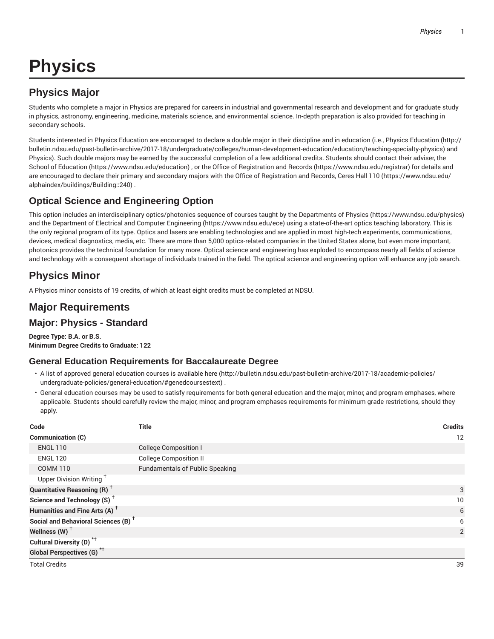# **Physics Major**

Students who complete a major in Physics are prepared for careers in industrial and governmental research and development and for graduate study in physics, astronomy, engineering, medicine, materials science, and environmental science. In-depth preparation is also provided for teaching in secondary schools.

Students interested in Physics Education are encouraged to declare a double major in their discipline and in education (i.e., Physics Education (http:// bulletin.ndsu.edu/past-bulletin-archive/2017-18/undergraduate/colleges/human-development-education/education/teaching-specialty-physics) and Physics). Such double majors may be earned by the successful completion of a few additional credits. Students should contact their adviser, the School of Education (https://www.ndsu.edu/education) , or the Office of Registration and Records (https://www.ndsu.edu/registrar) for details and are encouraged to declare their primary and secondary majors with the Office of Registration and Records, Ceres Hall 110 (https://www.ndsu.edu/ alphaindex/buildings/Building::240) .

# **Optical Science and Engineering Option**

This option includes an interdisciplinary optics/photonics sequence of courses taught by the Departments of Physics (https://www.ndsu.edu/physics) and the Department of Electrical and Computer Engineering (https://www.ndsu.edu/ece) using a state-of-the-art optics teaching laboratory. This is the only regional program of its type. Optics and lasers are enabling technologies and are applied in most high-tech experiments, communications, devices, medical diagnostics, media, etc. There are more than 5,000 optics-related companies in the United States alone, but even more important, photonics provides the technical foundation for many more. Optical science and engineering has exploded to encompass nearly all fields of science and technology with a consequent shortage of individuals trained in the field. The optical science and engineering option will enhance any job search.

# **Physics Minor**

A Physics minor consists of 19 credits, of which at least eight credits must be completed at NDSU.

# **Major Requirements**

## **Major: Physics - Standard**

**Degree Type: B.A. or B.S. Minimum Degree Credits to Graduate: 122**

## **General Education Requirements for Baccalaureate Degree**

- A list of approved general education courses is available here (http://bulletin.ndsu.edu/past-bulletin-archive/2017-18/academic-policies/ undergraduate-policies/general-education/#genedcoursestext) .
- General education courses may be used to satisfy requirements for both general education and the major, minor, and program emphases, where applicable. Students should carefully review the major, minor, and program emphases requirements for minimum grade restrictions, should they apply.

| Code                                            | <b>Title</b>                           | <b>Credits</b> |
|-------------------------------------------------|----------------------------------------|----------------|
| Communication (C)                               |                                        | 12             |
| <b>ENGL 110</b>                                 | <b>College Composition I</b>           |                |
| <b>ENGL 120</b>                                 | <b>College Composition II</b>          |                |
| <b>COMM 110</b>                                 | <b>Fundamentals of Public Speaking</b> |                |
| Upper Division Writing <sup>+</sup>             |                                        |                |
| <b>Quantitative Reasoning (R)</b> <sup>†</sup>  |                                        | 3              |
| Science and Technology (S) <sup>+</sup>         |                                        | 10             |
| Humanities and Fine Arts (A) <sup>+</sup>       |                                        | 6              |
| Social and Behavioral Sciences (B) <sup>+</sup> |                                        | 6              |
| Wellness (W) $^{\dagger}$                       |                                        | 2              |
| Cultural Diversity (D) <sup>*†</sup>            |                                        |                |
| Global Perspectives (G) <sup>*†</sup>           |                                        |                |

Total Credits 39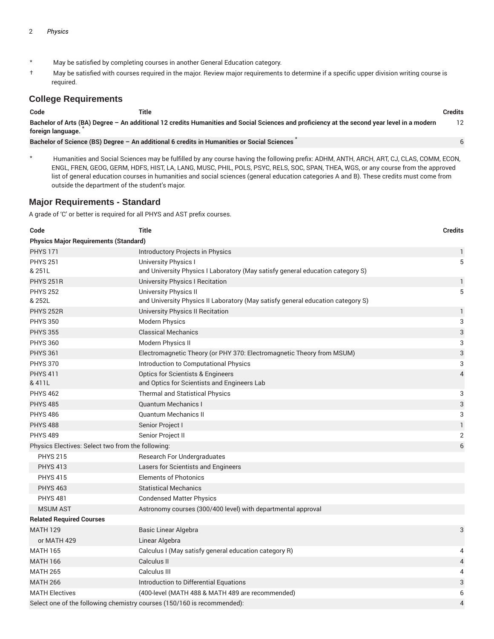- \* May be satisfied by completing courses in another General Education category.
- † May be satisfied with courses required in the major. Review major requirements to determine if a specific upper division writing course is required.

#### **College Requirements**

| Code              | Title                                                                                                                                       | Credits |
|-------------------|---------------------------------------------------------------------------------------------------------------------------------------------|---------|
| foreign language. | Bachelor of Arts (BA) Degree - An additional 12 credits Humanities and Social Sciences and proficiency at the second year level in a modern | 12      |
|                   | Bachelor of Science (BS) Degree - An additional 6 credits in Humanities or Social Sciences                                                  | 6       |

\* Humanities and Social Sciences may be fulfilled by any course having the following prefix: ADHM, ANTH, ARCH, ART, CJ, CLAS, COMM, ECON, ENGL, FREN, GEOG, GERM, HDFS, HIST, LA, LANG, MUSC, PHIL, POLS, PSYC, RELS, SOC, SPAN, THEA, WGS, or any course from the approved list of general education courses in humanities and social sciences (general education categories A and B). These credits must come from outside the department of the student's major.

#### **Major Requirements - Standard**

A grade of 'C' or better is required for all PHYS and AST prefix courses.

| Code                                                                                      | <b>Title</b>                                                                                                    | <b>Credits</b> |
|-------------------------------------------------------------------------------------------|-----------------------------------------------------------------------------------------------------------------|----------------|
| <b>Physics Major Requirements (Standard)</b>                                              |                                                                                                                 |                |
| <b>PHYS 171</b>                                                                           | Introductory Projects in Physics                                                                                | $\mathbf{1}$   |
| <b>PHYS 251</b>                                                                           | University Physics I                                                                                            | 5              |
| & 251L                                                                                    | and University Physics I Laboratory (May satisfy general education category S)                                  |                |
| <b>PHYS 251R</b>                                                                          | University Physics I Recitation                                                                                 | $\mathbf{1}$   |
| <b>PHYS 252</b><br>& 252L                                                                 | <b>University Physics II</b><br>and University Physics II Laboratory (May satisfy general education category S) | 5              |
| <b>PHYS 252R</b>                                                                          | University Physics II Recitation                                                                                | 1              |
| <b>PHYS 350</b>                                                                           | <b>Modern Physics</b>                                                                                           | 3              |
| <b>PHYS 355</b>                                                                           | <b>Classical Mechanics</b>                                                                                      | 3              |
| <b>PHYS 360</b>                                                                           | <b>Modern Physics II</b>                                                                                        | 3              |
| <b>PHYS 361</b>                                                                           | Electromagnetic Theory (or PHY 370: Electromagnetic Theory from MSUM)                                           | 3              |
| <b>PHYS 370</b>                                                                           | Introduction to Computational Physics                                                                           | 3              |
| <b>PHYS 411</b><br>& 411L                                                                 | <b>Optics for Scientists &amp; Engineers</b><br>and Optics for Scientists and Engineers Lab                     | $\overline{4}$ |
| <b>PHYS 462</b>                                                                           | Thermal and Statistical Physics                                                                                 | 3              |
| <b>PHYS 485</b>                                                                           | <b>Quantum Mechanics I</b>                                                                                      | 3              |
| <b>PHYS 486</b>                                                                           | <b>Quantum Mechanics II</b>                                                                                     | 3              |
| <b>PHYS 488</b>                                                                           | Senior Project I                                                                                                | $\mathbf{1}$   |
| <b>PHYS 489</b>                                                                           | Senior Project II                                                                                               | 2              |
| Physics Electives: Select two from the following:                                         |                                                                                                                 | 6              |
| <b>PHYS 215</b>                                                                           | Research For Undergraduates                                                                                     |                |
| <b>PHYS 413</b>                                                                           | Lasers for Scientists and Engineers                                                                             |                |
| <b>PHYS 415</b>                                                                           | <b>Elements of Photonics</b>                                                                                    |                |
| <b>PHYS 463</b>                                                                           | <b>Statistical Mechanics</b>                                                                                    |                |
| <b>PHYS 481</b>                                                                           | <b>Condensed Matter Physics</b>                                                                                 |                |
| <b>MSUM AST</b>                                                                           | Astronomy courses (300/400 level) with departmental approval                                                    |                |
| <b>Related Required Courses</b>                                                           |                                                                                                                 |                |
| <b>MATH 129</b>                                                                           | <b>Basic Linear Algebra</b>                                                                                     | 3              |
| or MATH 429                                                                               | Linear Algebra                                                                                                  |                |
| <b>MATH 165</b>                                                                           | Calculus I (May satisfy general education category R)                                                           | 4              |
| <b>MATH 166</b>                                                                           | Calculus II                                                                                                     | 4              |
| <b>MATH 265</b>                                                                           | Calculus III                                                                                                    | 4              |
| <b>MATH 266</b>                                                                           | Introduction to Differential Equations                                                                          | 3              |
| <b>MATH Electives</b>                                                                     | (400-level (MATH 488 & MATH 489 are recommended)                                                                | 6              |
| $\overline{4}$<br>Select one of the following chemistry courses (150/160 is recommended): |                                                                                                                 |                |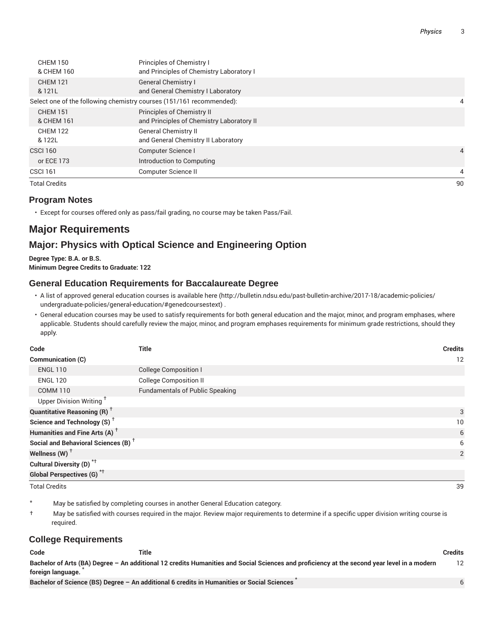| <b>Total Credits</b>                                                 |                                                                         | 90             |
|----------------------------------------------------------------------|-------------------------------------------------------------------------|----------------|
| <b>CSCI 161</b>                                                      | Computer Science II                                                     | 4              |
| or ECE 173                                                           | Introduction to Computing                                               |                |
| <b>CSCI 160</b>                                                      | Computer Science I                                                      | $\overline{4}$ |
| <b>CHEM 122</b><br>& 122L                                            | <b>General Chemistry II</b><br>and General Chemistry II Laboratory      |                |
| <b>CHEM 151</b><br>& CHEM 161                                        | Principles of Chemistry II<br>and Principles of Chemistry Laboratory II |                |
| Select one of the following chemistry courses (151/161 recommended): |                                                                         | 4              |
| <b>CHEM 121</b><br>& 121L                                            | <b>General Chemistry I</b><br>and General Chemistry I Laboratory        |                |
| <b>CHEM 150</b><br>& CHEM 160                                        | Principles of Chemistry I<br>and Principles of Chemistry Laboratory I   |                |
|                                                                      |                                                                         |                |

#### **Program Notes**

• Except for courses offered only as pass/fail grading, no course may be taken Pass/Fail.

# **Major Requirements**

## **Major: Physics with Optical Science and Engineering Option**

**Degree Type: B.A. or B.S.**

**Minimum Degree Credits to Graduate: 122**

#### **General Education Requirements for Baccalaureate Degree**

- A list of approved general education courses is available here (http://bulletin.ndsu.edu/past-bulletin-archive/2017-18/academic-policies/ undergraduate-policies/general-education/#genedcoursestext) .
- General education courses may be used to satisfy requirements for both general education and the major, minor, and program emphases, where applicable. Students should carefully review the major, minor, and program emphases requirements for minimum grade restrictions, should they apply.

| Code                                                 | Title                                  | <b>Credits</b>  |
|------------------------------------------------------|----------------------------------------|-----------------|
| <b>Communication (C)</b>                             |                                        | 12              |
| <b>ENGL 110</b>                                      | <b>College Composition I</b>           |                 |
| <b>ENGL 120</b>                                      | <b>College Composition II</b>          |                 |
| <b>COMM 110</b>                                      | <b>Fundamentals of Public Speaking</b> |                 |
| Upper Division Writing <sup>+</sup>                  |                                        |                 |
| <b>Quantitative Reasoning (R)</b> <sup>†</sup>       |                                        | 3               |
| Science and Technology (S) <sup><math>+</math></sup> |                                        | 10 <sup>°</sup> |
| Humanities and Fine Arts (A) <sup>+</sup>            |                                        | 6               |
| Social and Behavioral Sciences (B) <sup>+</sup>      |                                        | 6               |
| Wellness (W) $^{\dagger}$                            |                                        | 2               |
| Cultural Diversity (D) <sup>*†</sup>                 |                                        |                 |
| Global Perspectives (G) <sup>*†</sup>                |                                        |                 |

Total Credits 39

\* May be satisfied by completing courses in another General Education category.

† May be satisfied with courses required in the major. Review major requirements to determine if a specific upper division writing course is required.

### **College Requirements**

| Code              | Title                                                                                                                                       | Credits |
|-------------------|---------------------------------------------------------------------------------------------------------------------------------------------|---------|
| foreign language. | Bachelor of Arts (BA) Degree – An additional 12 credits Humanities and Social Sciences and proficiency at the second year level in a modern |         |
|                   | Bashahar of Osianas (BO) Bannas - An additional Considio in Humanities an Osaial Osianasa                                                   |         |

**Bachelor of Science (BS) Degree – An additional 6 credits in Humanities or Social Sciences** \*

6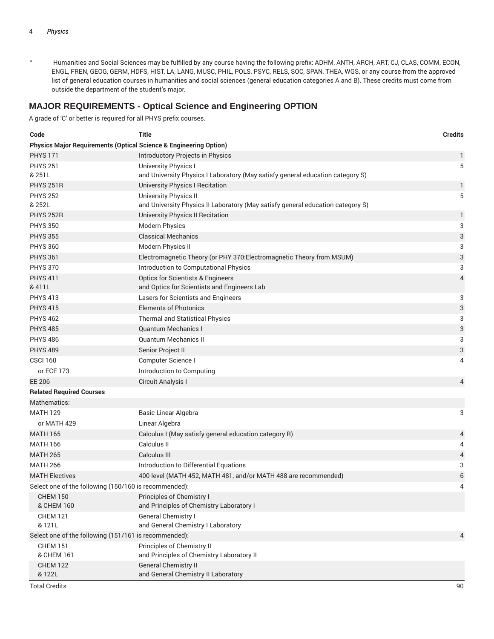\* Humanities and Social Sciences may be fulfilled by any course having the following prefix: ADHM, ANTH, ARCH, ART, CJ, CLAS, COMM, ECON, ENGL, FREN, GEOG, GERM, HDFS, HIST, LA, LANG, MUSC, PHIL, POLS, PSYC, RELS, SOC, SPAN, THEA, WGS, or any course from the approved list of general education courses in humanities and social sciences (general education categories A and B). These credits must come from outside the department of the student's major.

#### **MAJOR REQUIREMENTS - Optical Science and Engineering OPTION**

A grade of 'C' or better is required for all PHYS prefix courses.

| Code                                                                         | <b>Title</b>                                                                                                  | <b>Credits</b> |
|------------------------------------------------------------------------------|---------------------------------------------------------------------------------------------------------------|----------------|
| <b>Physics Major Requirements (Optical Science &amp; Engineering Option)</b> |                                                                                                               |                |
| <b>PHYS 171</b>                                                              | Introductory Projects in Physics                                                                              | $\mathbf{1}$   |
| <b>PHYS 251</b><br>& 251L                                                    | <b>University Physics I</b><br>and University Physics I Laboratory (May satisfy general education category S) | 5              |
| <b>PHYS 251R</b>                                                             | University Physics I Recitation                                                                               | 1              |
| <b>PHYS 252</b>                                                              | <b>University Physics II</b>                                                                                  | 5              |
| & 252L                                                                       | and University Physics II Laboratory (May satisfy general education category S)                               |                |
| <b>PHYS 252R</b>                                                             | University Physics II Recitation                                                                              | 1              |
| <b>PHYS 350</b>                                                              | <b>Modern Physics</b>                                                                                         | 3              |
| <b>PHYS 355</b>                                                              | <b>Classical Mechanics</b>                                                                                    | 3              |
| <b>PHYS 360</b>                                                              | Modern Physics II                                                                                             | 3              |
| <b>PHYS 361</b>                                                              | Electromagnetic Theory (or PHY 370: Electromagnetic Theory from MSUM)                                         | 3              |
| <b>PHYS 370</b>                                                              | Introduction to Computational Physics                                                                         | 3              |
| <b>PHYS 411</b>                                                              | <b>Optics for Scientists &amp; Engineers</b>                                                                  | $\overline{4}$ |
| & 411L                                                                       | and Optics for Scientists and Engineers Lab                                                                   |                |
| <b>PHYS 413</b>                                                              | Lasers for Scientists and Engineers                                                                           | 3              |
| <b>PHYS 415</b>                                                              | <b>Elements of Photonics</b>                                                                                  | 3              |
| <b>PHYS 462</b>                                                              | Thermal and Statistical Physics                                                                               | 3              |
| <b>PHYS 485</b>                                                              | <b>Quantum Mechanics I</b>                                                                                    | 3              |
| <b>PHYS 486</b>                                                              | <b>Quantum Mechanics II</b>                                                                                   | 3              |
| <b>PHYS 489</b>                                                              | Senior Project II                                                                                             | 3              |
| <b>CSCI 160</b>                                                              | Computer Science I                                                                                            | 4              |
| or ECE 173                                                                   | Introduction to Computing                                                                                     |                |
| EE 206                                                                       | Circuit Analysis I                                                                                            | 4              |
| <b>Related Required Courses</b>                                              |                                                                                                               |                |
| Mathematics:                                                                 |                                                                                                               |                |
| <b>MATH 129</b>                                                              | Basic Linear Algebra                                                                                          | 3              |
| or MATH 429                                                                  | Linear Algebra                                                                                                |                |
| <b>MATH 165</b>                                                              | Calculus I (May satisfy general education category R)                                                         | 4              |
| <b>MATH 166</b>                                                              | Calculus II                                                                                                   | 4              |
| <b>MATH 265</b>                                                              | Calculus III                                                                                                  | 4              |
| <b>MATH 266</b>                                                              | Introduction to Differential Equations                                                                        | 3              |
| <b>MATH Electives</b>                                                        | 400-level (MATH 452, MATH 481, and/or MATH 488 are recommended)                                               | 6              |
| Select one of the following (150/160 is recommended):                        |                                                                                                               | 4              |
| CHEM 150<br>& CHEM 160                                                       | Principles of Chemistry I<br>and Principles of Chemistry Laboratory I                                         |                |
| <b>CHEM 121</b><br>& 121L                                                    | <b>General Chemistry I</b><br>and General Chemistry I Laboratory                                              |                |
| Select one of the following (151/161 is recommended):                        |                                                                                                               | 4              |
| <b>CHEM 151</b>                                                              | Principles of Chemistry II                                                                                    |                |
| & CHEM 161                                                                   | and Principles of Chemistry Laboratory II                                                                     |                |
| <b>CHEM 122</b>                                                              | <b>General Chemistry II</b>                                                                                   |                |
| & 122L                                                                       | and General Chemistry II Laboratory                                                                           |                |
| <b>Total Credits</b>                                                         |                                                                                                               | 90             |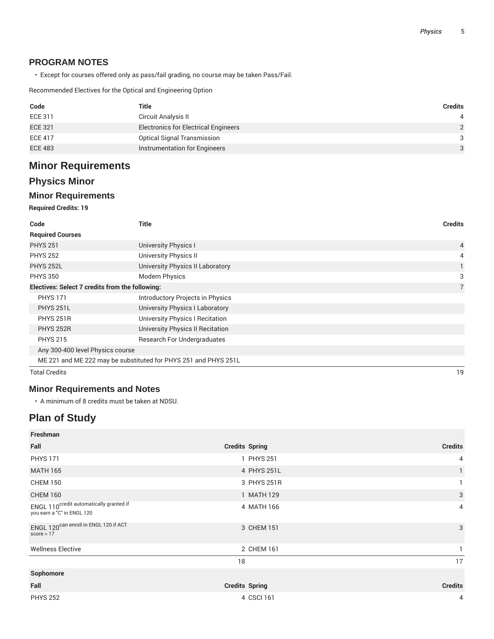## **PROGRAM NOTES**

• Except for courses offered only as pass/fail grading, no course may be taken Pass/Fail.

Recommended Electives for the Optical and Engineering Option

| Code           | Title                                       | <b>Credits</b> |
|----------------|---------------------------------------------|----------------|
| ECE 311        | <b>Circuit Analysis II</b>                  |                |
| <b>ECE 321</b> | <b>Electronics for Electrical Engineers</b> | 2              |
| <b>ECE 417</b> | <b>Optical Signal Transmission</b>          | 3              |
| <b>ECE 483</b> | Instrumentation for Engineers               | 3              |

# **Minor Requirements**

## **Physics Minor**

## **Minor Requirements**

#### **Required Credits: 19**

| Code                                            | Title                                                           | <b>Credits</b> |
|-------------------------------------------------|-----------------------------------------------------------------|----------------|
| <b>Required Courses</b>                         |                                                                 |                |
| <b>PHYS 251</b>                                 | <b>University Physics I</b>                                     | $\overline{4}$ |
| <b>PHYS 252</b>                                 | <b>University Physics II</b>                                    | 4              |
| <b>PHYS 252L</b>                                | <b>University Physics II Laboratory</b>                         |                |
| <b>PHYS 350</b>                                 | <b>Modern Physics</b>                                           | 3              |
| Electives: Select 7 credits from the following: |                                                                 | $\overline{7}$ |
| <b>PHYS 171</b>                                 | Introductory Projects in Physics                                |                |
| <b>PHYS 251L</b>                                | University Physics I Laboratory                                 |                |
| <b>PHYS 251R</b>                                | University Physics I Recitation                                 |                |
| <b>PHYS 252R</b>                                | University Physics II Recitation                                |                |
| <b>PHYS 215</b>                                 | <b>Research For Undergraduates</b>                              |                |
| Any 300-400 level Physics course                |                                                                 |                |
|                                                 | ME 221 and ME 222 may be substituted for PHYS 251 and PHYS 251L |                |
| <b>Total Credits</b>                            |                                                                 | 19             |

#### **Minor Requirements and Notes**

• A minimum of 8 credits must be taken at NDSU.

# **Plan of Study**

| Freshman                                                                          |                       |                |
|-----------------------------------------------------------------------------------|-----------------------|----------------|
| Fall                                                                              | <b>Credits Spring</b> | <b>Credits</b> |
| <b>PHYS 171</b>                                                                   | 1 PHYS 251            | $\overline{4}$ |
| <b>MATH 165</b>                                                                   | 4 PHYS 251L           | $\mathbf{1}$   |
| <b>CHEM 150</b>                                                                   | 3 PHYS 251R           |                |
| <b>CHEM 160</b>                                                                   | 1 MATH 129            | 3              |
| ENGL 110 <sup>credit</sup> automatically granted if<br>you earn a "C" in ENGL 120 | 4 MATH 166            | 4              |
| ENGL 120 <sup>can enroll in ENGL 120 if ACT</sup><br>score $> 17$                 | 3 CHEM 151            | 3              |
| <b>Wellness Elective</b>                                                          | 2 CHEM 161            | 1.             |
|                                                                                   | 18                    | 17             |
| Sophomore                                                                         |                       |                |
| Fall                                                                              | <b>Credits Spring</b> | <b>Credits</b> |
| <b>PHYS 252</b>                                                                   | 4 CSCI 161            | 4              |